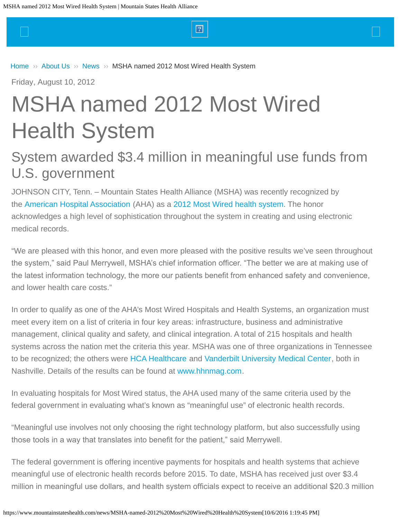<span id="page-0-0"></span> $\Box$  and the set of the set of the set of  $\Box$  and the set of the set of the set of  $\Box$ 

[Home](https://www.mountainstateshealth.com/) » [About Us](https://www.mountainstateshealth.com/about-us) » [News](https://www.mountainstateshealth.com/news) » [MSHA named 2012 Most Wired Health System](#page-0-0)

Friday, August 10, 2012

# MSHA named 2012 Most Wired Health System

# System awarded \$3.4 million in meaningful use funds from U.S. government

JOHNSON CITY, Tenn. – Mountain States Health Alliance (MSHA) was recently recognized by the [American Hospital Association](http://www.aha.org/) (AHA) as a [2012 Most Wired health system](http://www.hhnmostwired.com/hhnmostwired/html/previouswinners.html). The honor acknowledges a high level of sophistication throughout the system in creating and using electronic medical records.

"We are pleased with this honor, and even more pleased with the positive results we've seen throughout the system," said Paul Merrywell, MSHA's chief information officer. "The better we are at making use of the latest information technology, the more our patients beneft from enhanced safety and convenience, and lower health care costs."

In order to qualify as one of the AHA's Most Wired Hospitals and Health Systems, an organization must meet every item on a list of criteria in four key areas: infrastructure, business and administrative management, clinical quality and safety, and clinical integration. A total of 215 hospitals and health systems across the nation met the criteria this year. MSHA was one of three organizations in Tennessee to be recognized; the others were [HCA Healthcare](http://www.hcahealthcare.com/) and [Vanderbilt University Medical Center](http://www.mc.vanderbilt.edu/), both in Nashville. Details of the results can be found at [www.hhnmag.com](http://www.hhnmag.com/).

In evaluating hospitals for Most Wired status, the AHA used many of the same criteria used by the federal government in evaluating what's known as "meaningful use" of electronic health records.

"Meaningful use involves not only choosing the right technology platform, but also successfully using those tools in a way that translates into beneft for the patient," said Merrywell.

The federal government is offering incentive payments for hospitals and health systems that achieve meaningful use of electronic health records before 2015. To date, MSHA has received just over \$3.4 million in meaningful use dollars, and health system officials expect to receive an additional \$20.3 million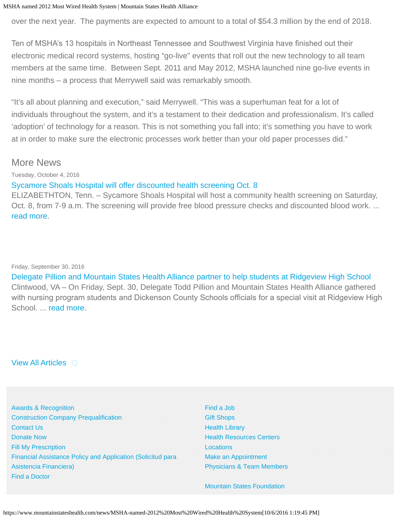#### MSHA named 2012 Most Wired Health System | Mountain States Health Alliance

over the next year. The payments are expected to amount to a total of \$54.3 million by the end of 2018.

Ten of MSHA's 13 hospitals in Northeast Tennessee and Southwest Virginia have finished out their electronic medical record systems, hosting "go-live" events that roll out the new technology to all team members at the same time. Between Sept. 2011 and May 2012, MSHA launched nine go-live events in nine months – a process that Merrywell said was remarkably smooth.

"It's all about planning and execution," said Merrywell. "This was a superhuman feat for a lot of individuals throughout the system, and it's a testament to their dedication and professionalism. It's called 'adoption' of technology for a reason. This is not something you fall into; it's something you have to work at in order to make sure the electronic processes work better than your old paper processes did."

## More News

Tuesday, October 4, 2016

### [Sycamore Shoals Hospital will offer discounted health screening Oct. 8](https://www.mountainstateshealth.com/news/Sycamore-Shoals-Hospital-to-offer-discounted-health-screening-Oct.-8)

ELIZABETHTON, Tenn. – Sycamore Shoals Hospital will host a community health screening on Saturday, Oct. 8, from 7-9 a.m. The screening will provide free blood pressure checks and discounted blood work. ... [read more](https://www.mountainstateshealth.com/news/Sycamore-Shoals-Hospital-to-offer-discounted-health-screening-Oct.-8).

Friday, September 30, 2016

[Delegate Pillion and Mountain States Health Alliance partner to help students at Ridgeview High School](https://www.mountainstateshealth.com/news/delegate-pillion-and-mountain-states-health-alliance-partner-help-students-ridgeview-high) Clintwood, VA – On Friday, Sept. 30, Delegate Todd Pillion and Mountain States Health Alliance gathered with nursing program students and Dickenson County Schools officials for a special visit at Ridgeview High School. ... [read more](https://www.mountainstateshealth.com/news/delegate-pillion-and-mountain-states-health-alliance-partner-help-students-ridgeview-high).

[View All Articles](https://www.mountainstateshealth.com/news)  $\Box$ 

[Awards & Recognition](https://www.mountainstateshealth.com/about-us/awards-and-recognition) [Construction Company Prequalification](https://www.mountainstateshealth.com/construction-company-pre-qualification-form-and-information) [Contact Us](https://www.mountainstateshealth.com/webform/contact-us) [Donate Now](https://www.mountainstateshealth.com/about-us/donate) [Fill My Prescription](http://www.mountainstatespharmacy.com/) Financial Assistance Policy [and Application \(Solicitud para](https://www.mountainstateshealth.com/patients-and-visitors/application-for-financial-assistance) [Asistencia Financiera\)](https://www.mountainstateshealth.com/patients-and-visitors/application-for-financial-assistance) [Find a Doctor](https://www.mountainstateshealth.com/find-doctor)

[Find a Job](https://www.mountainstateshealth.com/about-us/careers) [Gift Shops](https://www.mountainstateshealth.com/patients-and-visitors/gift-shops) [Health Library](http://mountainstateshealth.staywellsolutionsonline.com/) [Health Resources Centers](https://www.mountainstateshealth.com/medical-services/well-being-services/health-resources-centers) **[Locations](https://www.mountainstateshealth.com/locations)** [Make an Appointment](https://asp.scheduling.com/portals02/mshtn0400/consumer.jsp) Physicians & [Team Members](https://www.mountainstateshealth.com/physicians-team-members)

[Mountain States Foundation](http://www.mshafoundation.org/)